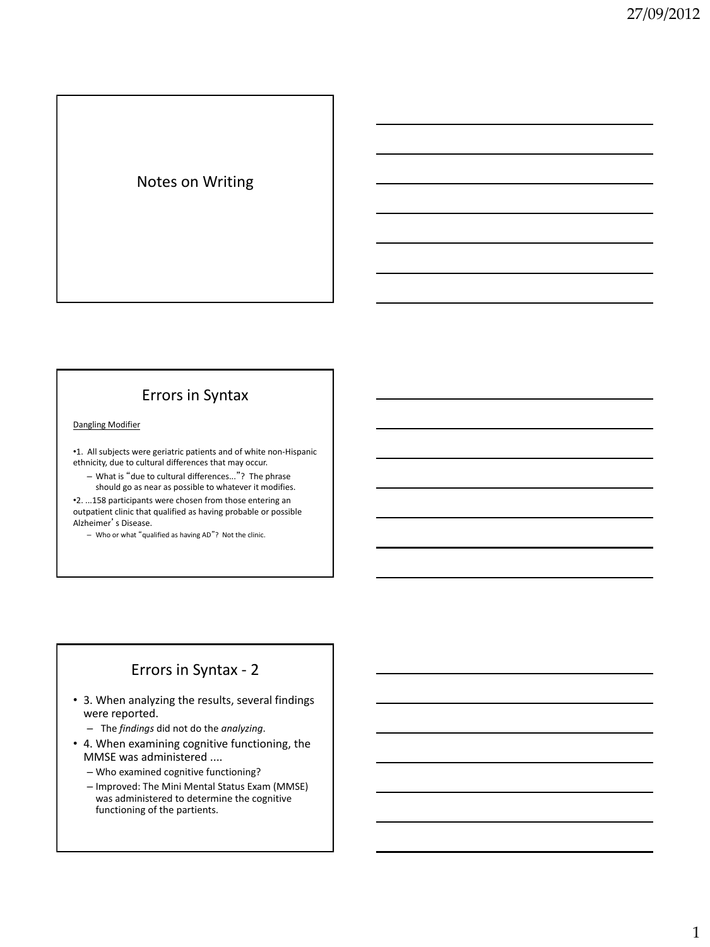# Notes on Writing

# Errors in Syntax

#### Dangling Modifier

•1. All subjects were geriatric patients and of white non-Hispanic ethnicity, due to cultural differences that may occur.

– What is "due to cultural differences..."? The phrase should go as near as possible to whatever it modifies.

•2. ...158 participants were chosen from those entering an outpatient clinic that qualified as having probable or possible Alzheimer's Disease.

– Who or what "qualified as having AD"? Not the clinic.

### Errors in Syntax - 2

- 3. When analyzing the results, several findings were reported.
	- The *findings* did not do the *analyzing*.
- 4. When examining cognitive functioning, the MMSE was administered ....
	- Who examined cognitive functioning?
	- Improved: The Mini Mental Status Exam (MMSE) was administered to determine the cognitive functioning of the partients.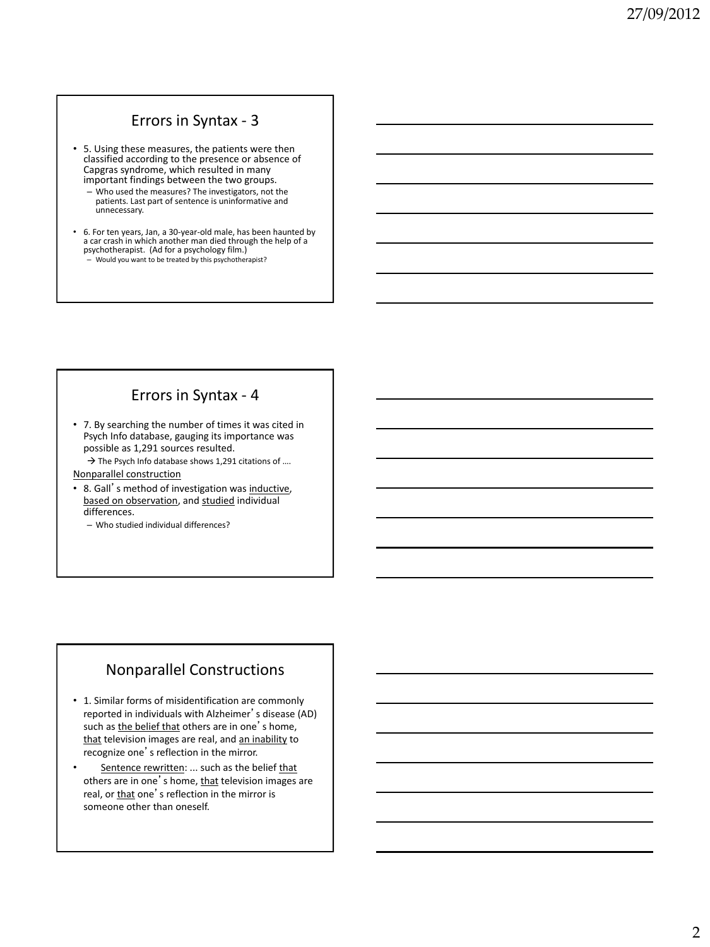# Errors in Syntax - 3

- 5. Using these measures, the patients were then classified according to the presence or absence of Capgras syndrome, which resulted in many important findings between the two groups.
	- Who used the measures? The investigators, not the patients. Last part of sentence is uninformative and unnecessary.
- 6. For ten years, Jan, a 30-year-old male, has been haunted by a car crash in which another man died through the help of a psychotherapist. (Ad for a psychology film.) – Would you want to be treated by this psychotherapist?

#### Errors in Syntax - 4

• 7. By searching the number of times it was cited in Psych Info database, gauging its importance was possible as 1,291 sources resulted.

 $\rightarrow$  The Psych Info database shows 1,291 citations of ....

Nonparallel construction

- 8. Gall's method of investigation was inductive, based on observation, and studied individual differences.
	- Who studied individual differences?

#### Nonparallel Constructions

- 1. Similar forms of misidentification are commonly reported in individuals with Alzheimer's disease (AD) such as the belief that others are in one's home, that television images are real, and an inability to recognize one's reflection in the mirror.
- Sentence rewritten: ... such as the belief that others are in one's home, that television images are real, or that one's reflection in the mirror is someone other than oneself.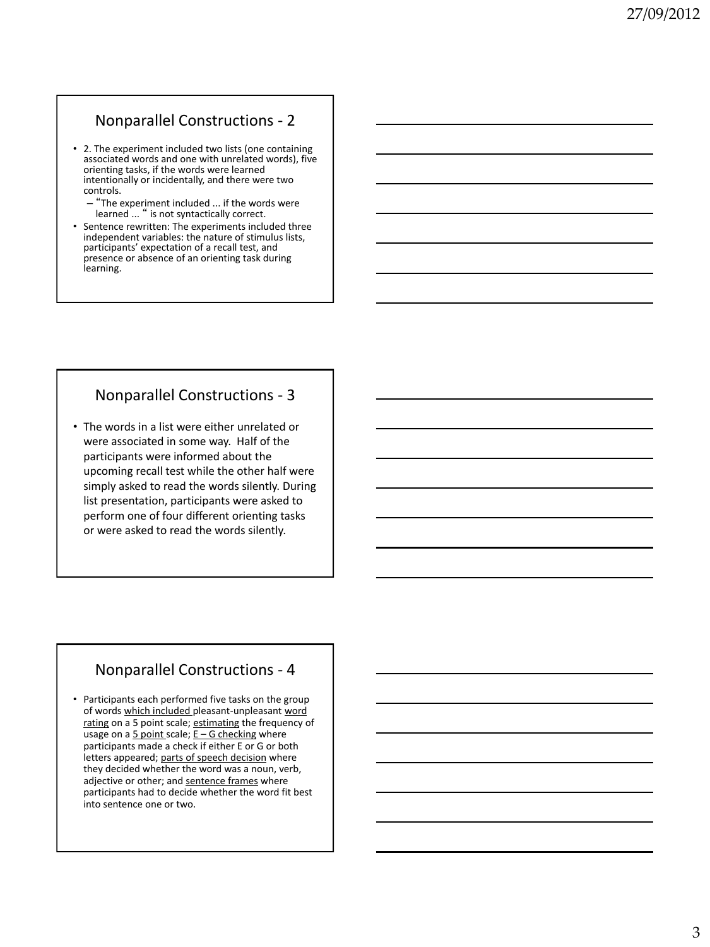# Nonparallel Constructions - 2

- 2. The experiment included two lists (one containing associated words and one with unrelated words), five orienting tasks, if the words were learned intentionally or incidentally, and there were two controls.
	- "The experiment included ... if the words were learned ... " is not syntactically correct.
- Sentence rewritten: The experiments included three independent variables: the nature of stimulus lists, participants' expectation of a recall test, and presence or absence of an orienting task during learning.

# Nonparallel Constructions - 3

• The words in a list were either unrelated or were associated in some way. Half of the participants were informed about the upcoming recall test while the other half were simply asked to read the words silently. During list presentation, participants were asked to perform one of four different orienting tasks or were asked to read the words silently.

# Nonparallel Constructions - 4

• Participants each performed five tasks on the group of words which included pleasant-unpleasant word rating on a 5 point scale; estimating the frequency of usage on a  $5$  point scale;  $E - G$  checking where participants made a check if either E or G or both letters appeared; parts of speech decision where they decided whether the word was a noun, verb, adjective or other; and sentence frames where participants had to decide whether the word fit best into sentence one or two.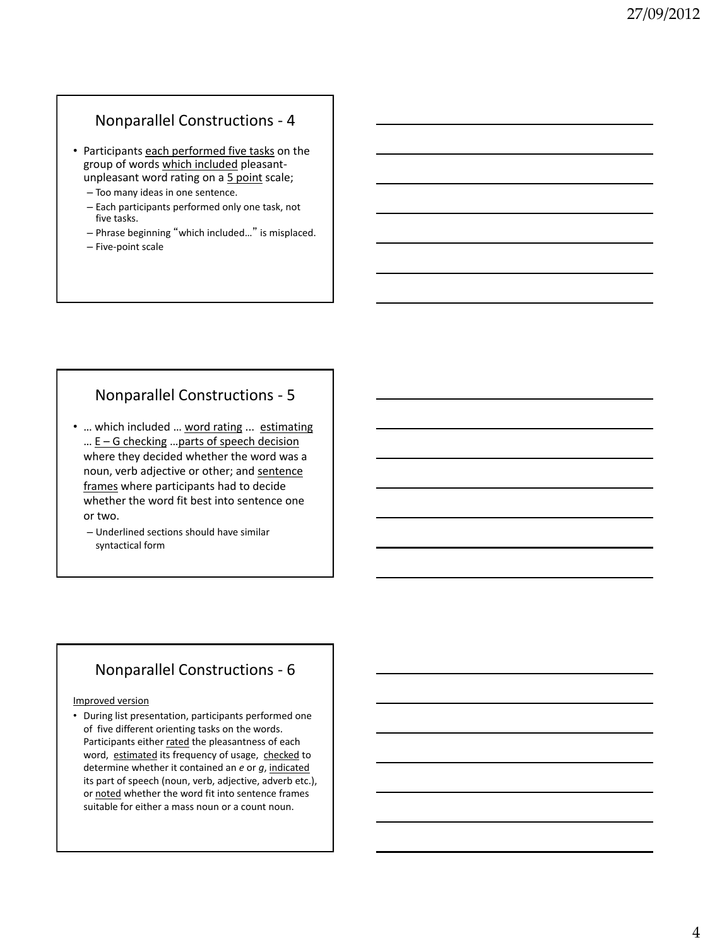### Nonparallel Constructions - 4

- Participants each performed five tasks on the group of words which included pleasantunpleasant word rating on a 5 point scale;
	- Too many ideas in one sentence.
	- Each participants performed only one task, not five tasks.
	- Phrase beginning "which included…" is misplaced.
	- Five-point scale

# Nonparallel Constructions - 5

- ... which included ... word rating ... estimating  $\ldots$  E – G checking  $\ldots$  parts of speech decision where they decided whether the word was a noun, verb adjective or other; and sentence frames where participants had to decide whether the word fit best into sentence one or two.
	- Underlined sections should have similar syntactical form

#### Nonparallel Constructions - 6

#### Improved version

• During list presentation, participants performed one of five different orienting tasks on the words. Participants either rated the pleasantness of each word, estimated its frequency of usage, checked to determine whether it contained an *e* or *g*, indicated its part of speech (noun, verb, adjective, adverb etc.), or noted whether the word fit into sentence frames suitable for either a mass noun or a count noun.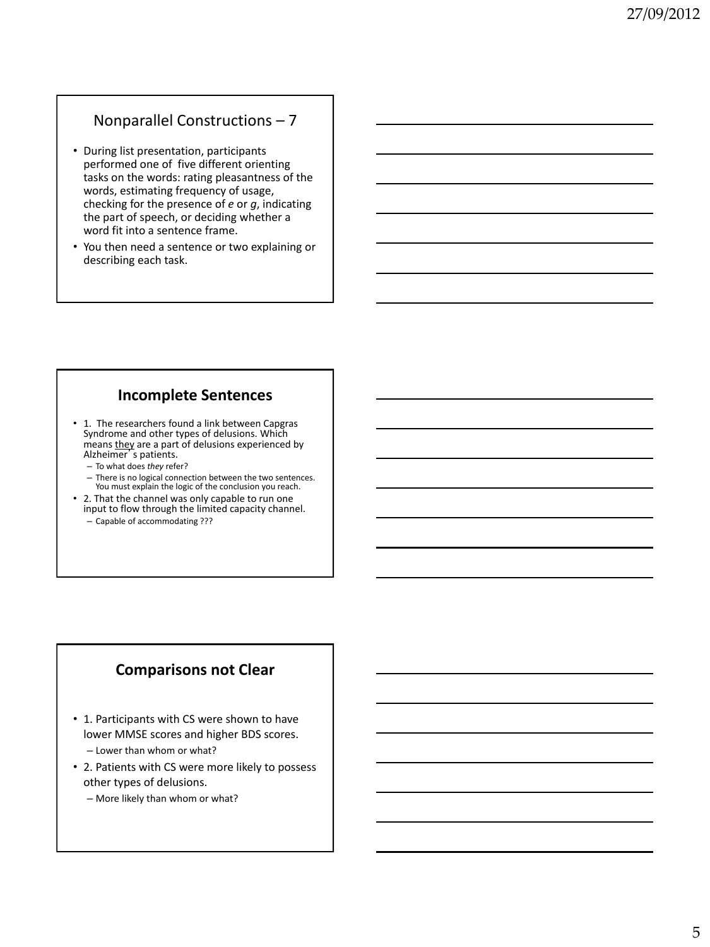# Nonparallel Constructions – 7

- During list presentation, participants performed one of five different orienting tasks on the words: rating pleasantness of the words, estimating frequency of usage, checking for the presence of *e* or *g*, indicating the part of speech, or deciding whether a word fit into a sentence frame.
- You then need a sentence or two explaining or describing each task.

#### **Incomplete Sentences**

- 1. The researchers found a link between Capgras Syndrome and other types of delusions. Which means they are a part of delusions experienced by Alzheimer's patients.
	- To what does *they* refer?
	- There is no logical connection between the two sentences. You must explain the logic of the conclusion you reach.
- 2. That the channel was only capable to run one input to flow through the limited capacity channel. – Capable of accommodating ???

# **Comparisons not Clear**

- 1. Participants with CS were shown to have lower MMSE scores and higher BDS scores. – Lower than whom or what?
- 2. Patients with CS were more likely to possess other types of delusions.
	- More likely than whom or what?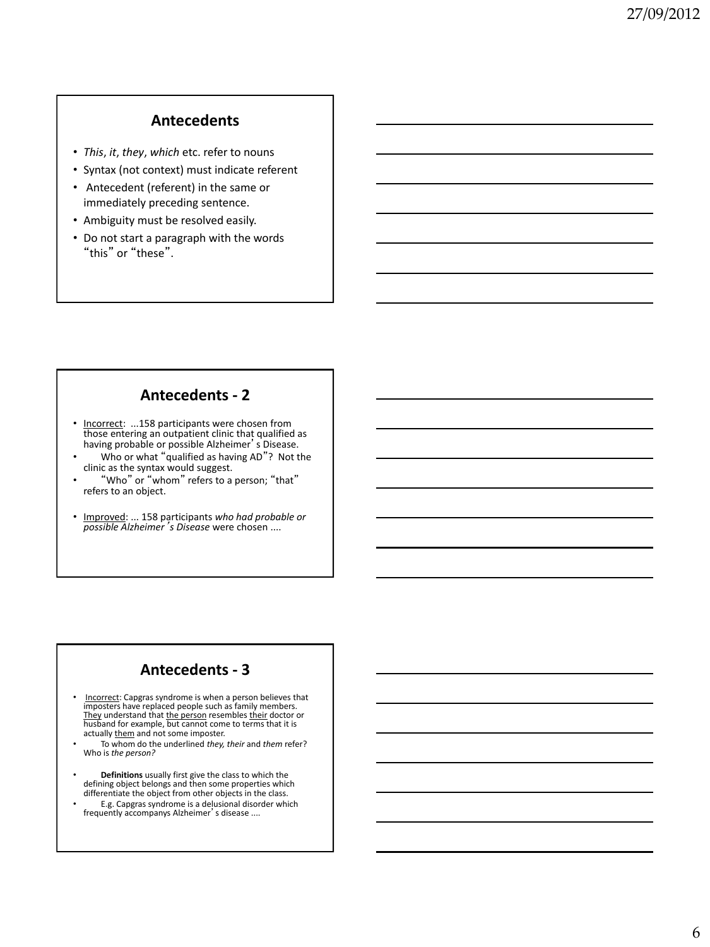# **Antecedents**

- *This*, *it*, *they*, *which* etc. refer to nouns
- Syntax (not context) must indicate referent
- Antecedent (referent) in the same or immediately preceding sentence.
- Ambiguity must be resolved easily.
- Do not start a paragraph with the words "this" or "these".

#### **Antecedents - 2**

- Incorrect: ...158 participants were chosen from those entering an outpatient clinic that qualified as having probable or possible Alzheimer's Disease.
- Who or what "qualified as having AD"? Not the clinic as the syntax would suggest.
- "Who" or "whom" refers to a person; "that" refers to an object.
- Improved: ... 158 participants *who had probable or possible Alzheimer*'*s Disease* were chosen ....

#### **Antecedents - 3**

- Incorrect: Capgras syndrome is when a person believes that imposters have replaced people such as family members. They understand that the person resembles their doctor or husband for example, but cannot come to terms that it is<br>actually <u>them</u> and not some imposter.
- To whom do the underlined *they, their* and *them* refer? Who is *the person?*
- **Definitions** usually first give the class to which the defining object belongs and then some properties which differentiate the object from other objects in the class.
- E.g. Capgras syndrome is a delusional disorder which frequently accompanys Alzheimer's disease ....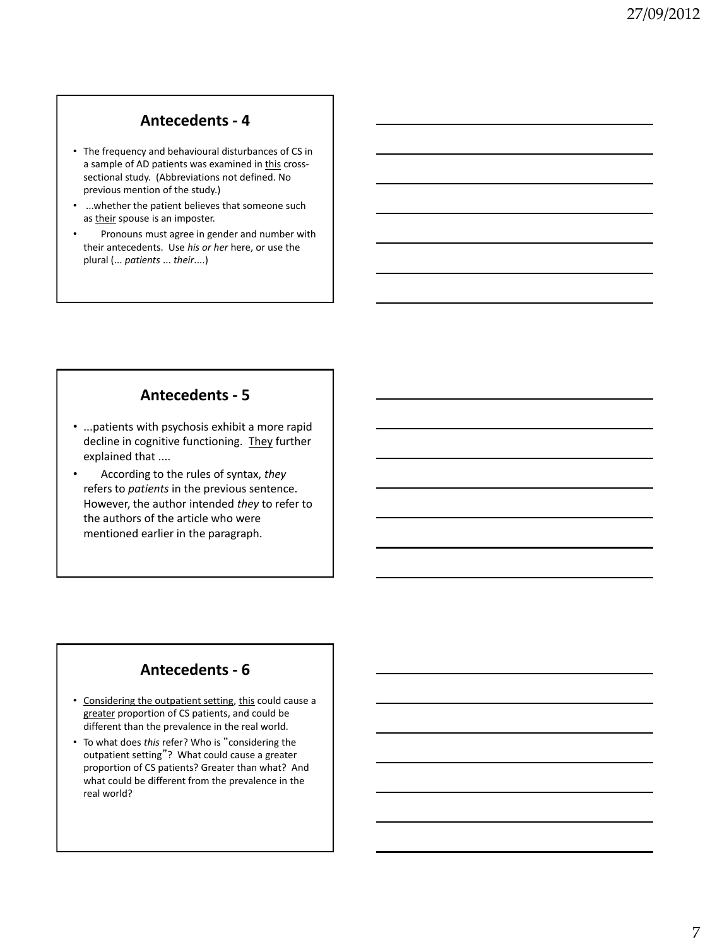#### **Antecedents - 4**

- The frequency and behavioural disturbances of CS in a sample of AD patients was examined in this crosssectional study. (Abbreviations not defined. No previous mention of the study.)
- ...whether the patient believes that someone such as their spouse is an imposter.
- Pronouns must agree in gender and number with their antecedents. Use *his or her* here, or use the plural (... *patients* ... *their*....)

#### **Antecedents - 5**

- ...patients with psychosis exhibit a more rapid decline in cognitive functioning. They further explained that ....
- According to the rules of syntax, *they* refers to *patients* in the previous sentence. However, the author intended *they* to refer to the authors of the article who were mentioned earlier in the paragraph.

# **Antecedents - 6**

- Considering the outpatient setting, this could cause a greater proportion of CS patients, and could be different than the prevalence in the real world.
- To what does *this* refer? Who is "considering the outpatient setting"? What could cause a greater proportion of CS patients? Greater than what? And what could be different from the prevalence in the real world?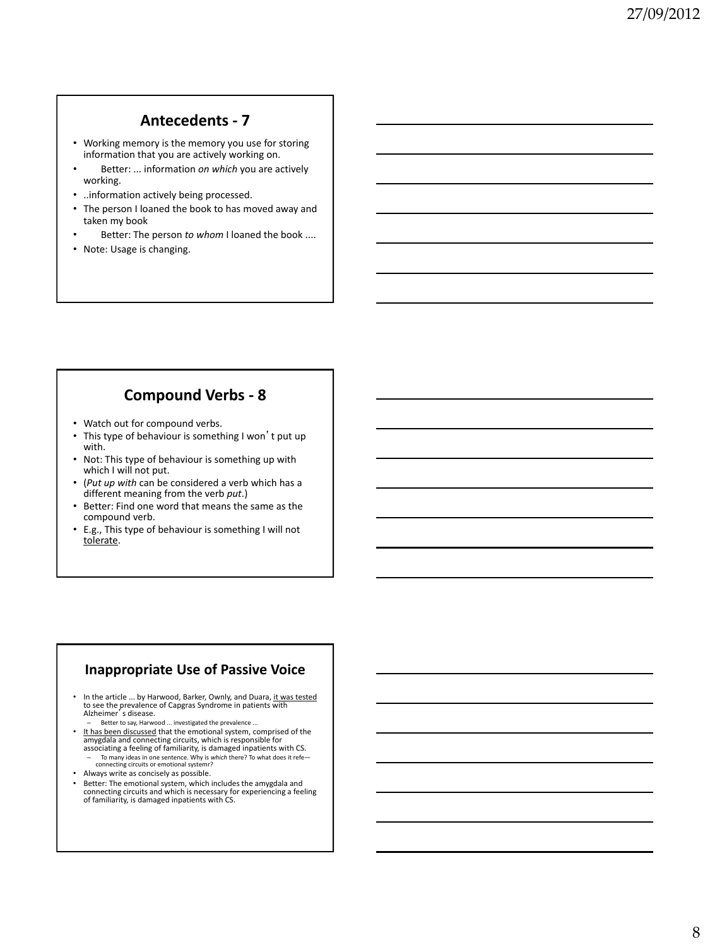#### **Antecedents - 7**

- Working memory is the memory you use for storing information that you are actively working on.
- Better: ... information *on which* you are actively working.
- ..information actively being processed.
- The person I loaned the book to has moved away and taken my book
- Better: The person to whom I loaned the book ....
- Note: Usage is changing.

# **Compound Verbs - 8**

- Watch out for compound verbs.
- This type of behaviour is something I won't put up with.
- Not: This type of behaviour is something up with which I will not put.
- (*Put up with* can be considered a verb which has a different meaning from the verb *put*.)
- Better: Find one word that means the same as the compound verb.
- E.g., This type of behaviour is something I will not tolerate.

#### **Inappropriate Use of Passive Voice**

- In the article ... by Harwood, Barker, Ownly, and Duara, it was tested to see the prevalence of Capgras Syndrome in patients with Alzheimer's disease.
	- Better to say, Harwood ... investigated the prevalence ...
- It has been discussed that the emotional system, comprised of the amygdala and connecting circuits, which is responsible for associating a feeling of familiarity, is damaged inpatients with CS. – To many ideas in one sentence. Why is *which* there? To what does it refe— connecting circuits or emotional systemr?
- Always write as concisely as possible.
- Better: The emotional system, which includes the amygdala and connecting circuits and which is necessary for experiencing a feeling of familiarity, is damaged inpatients with CS.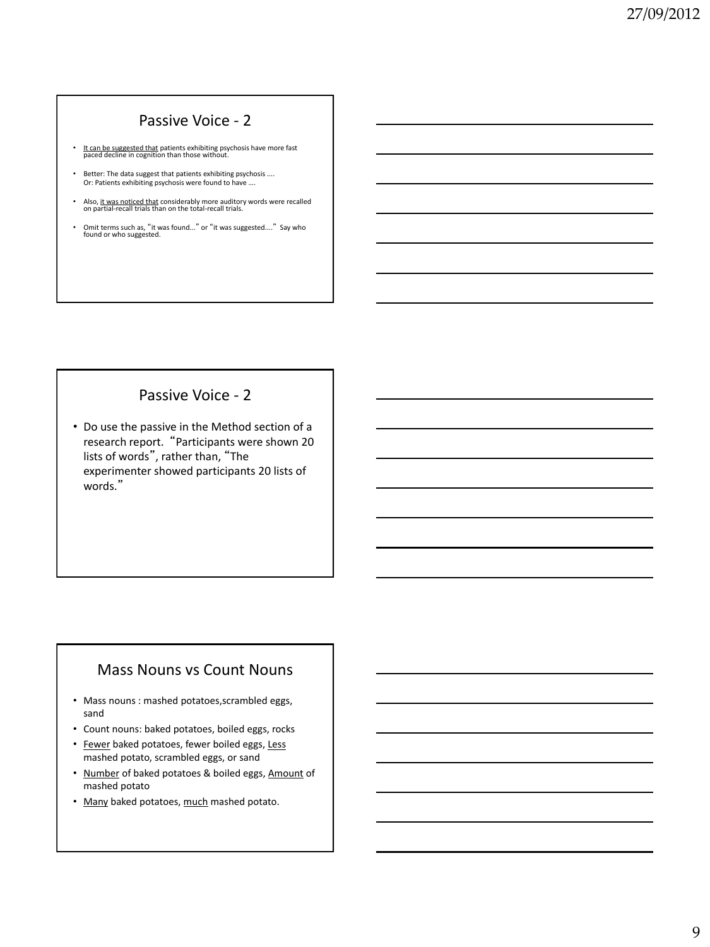### Passive Voice - 2

- It can be suggested that patients exhibiting psychosis have more fast paced decline in cognition than those without.
- Better: The data suggest that patients exhibiting psychosis .... Or: Patients exhibiting psychosis were found to have ….
- Also, it was noticed that considerably more auditory words were recalled on partial-recall trials than on the total-recall trials.
- Omit terms such as, "it was found..." or "it was suggested...." Say who found or who suggested.

# Passive Voice - 2

• Do use the passive in the Method section of a research report. "Participants were shown 20 lists of words", rather than, "The experimenter showed participants 20 lists of words."

# Mass Nouns vs Count Nouns

- Mass nouns : mashed potatoes,scrambled eggs, sand
- Count nouns: baked potatoes, boiled eggs, rocks
- Fewer baked potatoes, fewer boiled eggs, Less mashed potato, scrambled eggs, or sand
- Number of baked potatoes & boiled eggs, Amount of mashed potato
- Many baked potatoes, much mashed potato.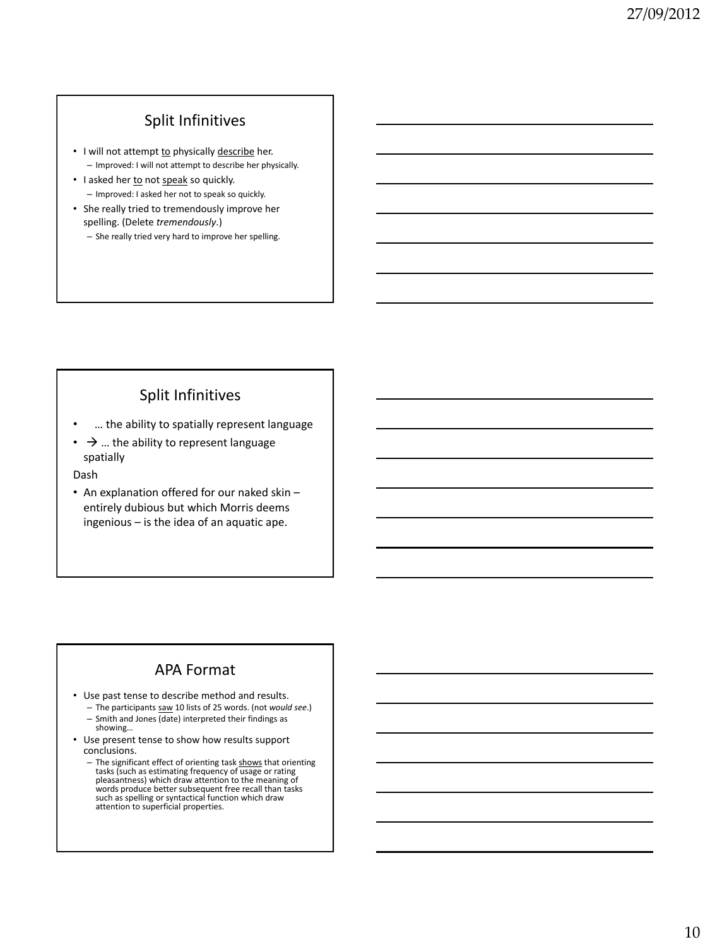# Split Infinitives

- I will not attempt to physically describe her. – Improved: I will not attempt to describe her physically.
- I asked her to not speak so quickly. – Improved: I asked her not to speak so quickly.
- She really tried to tremendously improve her spelling. (Delete *tremendously*.)
	- She really tried very hard to improve her spelling.

# Split Infinitives

- … the ability to spatially represent language
- $\rightarrow$  ... the ability to represent language spatially

Dash

• An explanation offered for our naked skin – entirely dubious but which Morris deems ingenious – is the idea of an aquatic ape.

# APA Format

- Use past tense to describe method and results. – The participants saw 10 lists of 25 words. (not *would see*.)
	- Smith and Jones (date) interpreted their findings as showing…
- Use present tense to show how results support conclusions.
	- The significant effect of orienting task shows that orienting<br>tasks (such as estimating frequency of usage or rating<br>pleasantness) which draw attention to the meaning of words produce better subsequent free recall than tasks such as spelling or syntactical function which draw attention to superficial properties.